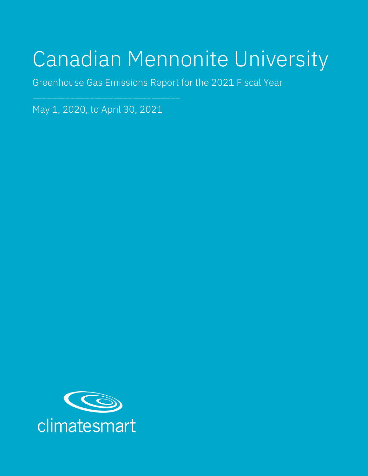# Canadian Mennonite University

Greenhouse Gas Emissions Report for the 2021 Fiscal Year

May 1, 2020, to April 30, 2021

\_\_\_\_\_\_\_\_\_\_\_\_\_\_\_\_\_\_\_\_\_\_\_\_\_\_\_\_\_\_\_

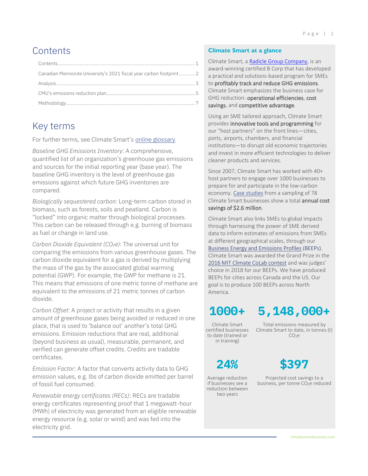# <span id="page-1-0"></span>**Contents**

| Canadian Mennonite University's 2021 fiscal year carbon footprint  2 |  |
|----------------------------------------------------------------------|--|
|                                                                      |  |
|                                                                      |  |
|                                                                      |  |

# Key terms

For further terms, see Climate Smart's [online glossary.](https://climatesmartbusiness.com/glossary/)

*Baseline GHG Emissions Inventory*: A comprehensive, quantified list of an organization's greenhouse gas emissions and sources for the initial reporting year (base year). The baseline GHG inventory is the level of greenhouse gas emissions against which future GHG inventories are compared.

*Biologically sequestered carbon*: Long-term carbon stored in biomass, such as forests, soils and peatland. Carbon is "locked" into organic matter through biological processes. This carbon can be released through e.g. burning of biomass as fuel or change in land use.

*Carbon Dioxide Equivalent (CO₂e)*: The universal unit for comparing the emissions from various greenhouse gases. The carbon dioxide equivalent for a gas is derived by multiplying the mass of the gas by the associated global warming potential (GWP). For example, the GWP for methane is 21. This means that emissions of one metric tonne of methane are equivalent to the emissions of 21 metric tonnes of carbon dioxide.

*Carbon Offset*: A project or activity that results in a given amount of greenhouse gases being avoided or reduced in one place, that is used to 'balance out' another's total GHG emissions. Emission reductions that are real, additional (beyond business as usual), measurable, permanent, and verified can generate offset credits. Credits are tradable certificates.

*Emission Factor*: A factor that converts activity data to GHG emission values, e.g. lbs of carbon dioxide emitted per barrel of fossil fuel consumed.

*Renewable energy certificates (RECs)*: RECs are tradable energy certificates representing proof that 1 megawatt-hour (MWh) of electricity was generated from an eligible renewable energy resource (e.g. solar or wind) and was fed into the electricity grid.

#### **Climate Smart at a glance**

Climate Smart, a [Radicle Group Company,](https://radiclebalance.com/) is an award-winning certified B Corp that has developed a practical and solutions-based program for SMEs to profitably track and reduce GHG emissions. Climate Smart emphasizes the business case for GHG reduction: operational efficiencies, cost savings, and competitive advantage.

Using an SME tailored approach, Climate Smart provides innovative tools and programming for our "host partners" on the front lines—cities, ports, airports, chambers, and financial institutions—to disrupt old economic trajectories and invest in more efficient technologies to deliver cleaner products and services.

Since 2007, Climate Smart has worked with 40+ host partners to engage over 1000 businesses to prepare for and participate in the low-carbon economy[. Case studies](https://climatesmartbusiness.com/case-studies/) from a sampling of 78 Climate Smart businesses show a total annual cost savings of \$2.6 million.

Climate Smart also links SMEs to global impacts through harnessing the power of SME derived data to inform estimates of emissions from SMEs at different geographical scales, through our [Business Energy and Emissions Profiles](http://beep.eco/) (BEEPs). Climate Smart was awarded the Grand Prize in the [2016 MIT Climate CoLab contest](https://climatesmartbusiness.com/2016/08/10/mit-salutes-vancouver-firm-for-climate-innovation/) and was judges' choice in 2018 for our BEEPs. We have produced BEEPs for cities across Canada and the US. Our goal is to produce 100 BEEPs across North America.

# **1000+ 5,148,000+**

Climate Smart certified businesses to date (trained or in training)

Total emissions measured by Climate Smart to date, in tonnes (t)  $CO<sub>2</sub>e$ 



Average reduction if businesses see a reduction between two years



Projected cost savings to a business, per tonne CO<sub>2</sub>e reduced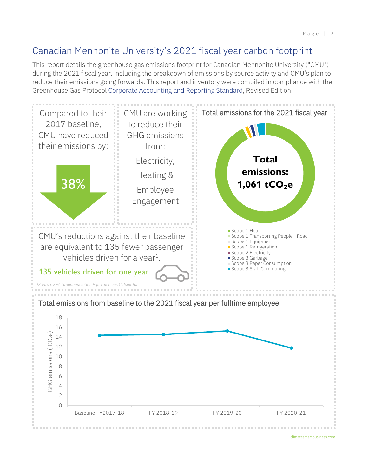## <span id="page-2-0"></span>Canadian Mennonite University's 2021 fiscal year carbon footprint

This report details the greenhouse gas emissions footprint for Canadian Mennonite University ("CMU") during the 2021 fiscal year, including the breakdown of emissions by source activity and CMU's plan to reduce their emissions going forwards. This report and inventory were compiled in compliance with the Greenhouse Gas Protocol [Corporate Accounting and Reporting Standard,](https://ghgprotocol.org/corporate-standard) Revised Edition.

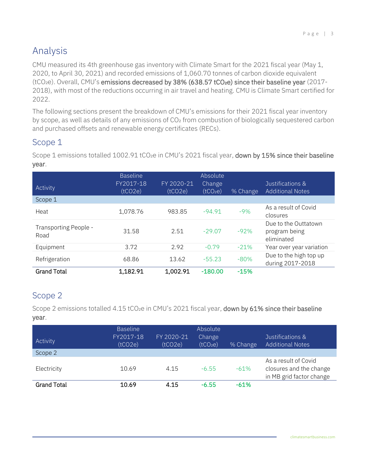# <span id="page-3-0"></span>Analysis

CMU measured its 4th greenhouse gas inventory with Climate Smart for the 2021 fiscal year (May 1, 2020, to April 30, 2021) and recorded emissions of 1,060.70 tonnes of carbon dioxide equivalent (tCO<sub>2</sub>e). Overall, CMU's emissions decreased by 38% (638.57 tCO<sub>2</sub>e) since their baseline year (2017-2018), with most of the reductions occurring in air travel and heating. CMU is Climate Smart certified for 2022.

The following sections present the breakdown of CMU's emissions for their 2021 fiscal year inventory by scope, as well as details of any emissions of CO<sub>2</sub> from combustion of biologically sequestered carbon and purchased offsets and renewable energy certificates (RECs).

#### Scope 1

Scope 1 emissions totalled 1002.91 tCO<sub>2</sub>e in CMU's 2021 fiscal year, down by 15% since their baseline year.

| Activity                      | <b>Baseline</b><br>FY2017-18<br>(tCO2e) | FY 2020-21<br>(tCO2e) | Absolute<br>Change<br>(tCO <sub>2</sub> e) | % Change | Justifications &<br><b>Additional Notes</b>         |
|-------------------------------|-----------------------------------------|-----------------------|--------------------------------------------|----------|-----------------------------------------------------|
| Scope 1                       |                                         |                       |                                            |          |                                                     |
| Heat                          | 1,078.76                                | 983.85                | $-94.91$                                   | $-9%$    | As a result of Covid<br>closures                    |
| Transporting People -<br>Road | 31.58                                   | 2.51                  | $-29.07$                                   | $-92%$   | Due to the Outtatown<br>program being<br>eliminated |
| Equipment                     | 3.72                                    | 2.92                  | $-0.79$                                    | $-21%$   | Year over year variation                            |
| Refrigeration                 | 68.86                                   | 13.62                 | $-55.23$                                   | $-80%$   | Due to the high top up<br>during 2017-2018          |
| <b>Grand Total</b>            | 1,182.91                                | 1,002.91              | $-180.00$                                  | $-15%$   |                                                     |

## Scope 2

Scope 2 emissions totalled 4.15 tCO2e in CMU's 2021 fiscal year, down by 61% since their baseline year.

| Activity           | <b>Baseline</b><br>FY2017-18<br>(tCO2e) | FY 2020-21<br>(tCO2e) | Absolute<br>Change<br>(tCO <sub>2</sub> e) | % Change | Justifications &<br><b>Additional Notes</b>                                 |
|--------------------|-----------------------------------------|-----------------------|--------------------------------------------|----------|-----------------------------------------------------------------------------|
| Scope 2            |                                         |                       |                                            |          |                                                                             |
| Electricity        | 10.69                                   | 4.15                  | $-6.55$                                    | $-61%$   | As a result of Covid<br>closures and the change<br>in MB grid factor change |
| <b>Grand Total</b> | 10.69                                   | 4.15                  | $-6.55$                                    | $-61%$   |                                                                             |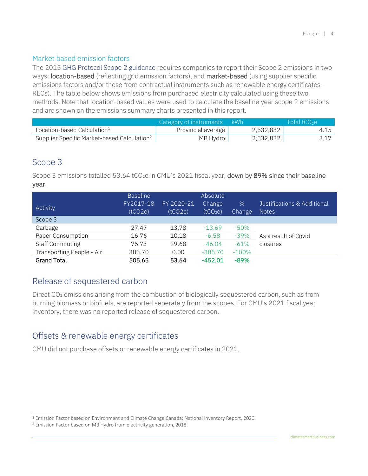#### Market based emission factors

The 2015 [GHG Protocol Scope 2 guidance](https://ghgprotocol.org/scope_2_guidance) requires companies to report their Scope 2 emissions in two ways: location-based (reflecting grid emission factors), and market-based (using supplier specific emissions factors and/or those from contractual instruments such as renewable energy certificates - RECs). The table below shows emissions from purchased electricity calculated using these two methods. Note that location-based values were used to calculate the baseline year scope 2 emissions and are shown on the emissions summary charts presented in this report.

|                                                         | Category of instruments kWh |           | Total tCO <sub>2</sub> e |
|---------------------------------------------------------|-----------------------------|-----------|--------------------------|
| Location-based Calculation <sup>1</sup>                 | Provincial average          | 2,532,832 | 4.15                     |
| Supplier Specific Market-based Calculation <sup>2</sup> | MB Hydro                    | 2,532,832 |                          |

#### Scope 3

Scope 3 emissions totalled 53.64 tCO<sub>2</sub>e in CMU's 2021 fiscal year, down by 89% since their baseline year.

| Activity                  | <b>Baseline</b><br>FY2017-18<br>(tCO2e) | FY 2020-21<br>(tCO2e) | Absolute<br>Change<br>(tCO <sub>2</sub> e) | $\%$<br><b>Change</b> | Justifications & Additional<br><b>Notes</b> |
|---------------------------|-----------------------------------------|-----------------------|--------------------------------------------|-----------------------|---------------------------------------------|
| Scope 3                   |                                         |                       |                                            |                       |                                             |
| Garbage                   | 27.47                                   | 13.78                 | $-13.69$                                   | $-50\%$               |                                             |
| Paper Consumption         | 16.76                                   | 10.18                 | $-6.58$                                    | $-39%$                | As a result of Covid                        |
| <b>Staff Commuting</b>    | 75.73                                   | 29.68                 | $-46.04$                                   | $-61%$                | closures                                    |
| Transporting People - Air | 385.70                                  | 0.00                  | $-385.70$                                  | $-100%$               |                                             |
| <b>Grand Total</b>        | 505.65                                  | 53.64                 | $-452.01$                                  | $-89%$                |                                             |

#### Release of sequestered carbon

Direct CO<sub>2</sub> emissions arising from the combustion of biologically sequestered carbon, such as from burning biomass or biofuels, are reported seperately from the scopes. For CMU's 2021 fiscal year inventory, there was no reported release of sequestered carbon.

#### Offsets & renewable energy certificates

CMU did not purchase offsets or renewable energy certificates in 2021.

<sup>1</sup> Emission Factor based on Environment and Climate Change Canada: National Inventory Report, 2020.

<sup>2</sup> Emission Factor based on MB Hydro from electricity generation, 2018.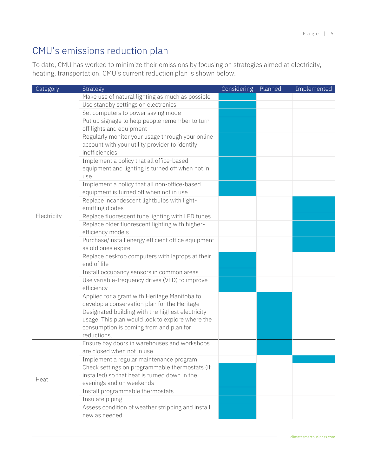# <span id="page-5-0"></span>CMU's emissions reduction plan

To date, CMU has worked to minimize their emissions by focusing on strategies aimed at electricity, heating, transportation. CMU's current reduction plan is shown below.

| Category    | Strategy                                                                                            | <b>Considering</b> | Planned | Implemented |
|-------------|-----------------------------------------------------------------------------------------------------|--------------------|---------|-------------|
|             | Make use of natural lighting as much as possible                                                    |                    |         |             |
|             | Use standby settings on electronics                                                                 |                    |         |             |
|             | Set computers to power saving mode                                                                  |                    |         |             |
|             | Put up signage to help people remember to turn                                                      |                    |         |             |
|             | off lights and equipment                                                                            |                    |         |             |
|             | Regularly monitor your usage through your online                                                    |                    |         |             |
|             | account with your utility provider to identify                                                      |                    |         |             |
|             | inefficiencies                                                                                      |                    |         |             |
|             | Implement a policy that all office-based                                                            |                    |         |             |
|             | equipment and lighting is turned off when not in                                                    |                    |         |             |
|             | use                                                                                                 |                    |         |             |
|             | Implement a policy that all non-office-based                                                        |                    |         |             |
|             | equipment is turned off when not in use                                                             |                    |         |             |
|             | Replace incandescent lightbulbs with light-                                                         |                    |         |             |
| Electricity | emitting diodes                                                                                     |                    |         |             |
|             | Replace fluorescent tube lighting with LED tubes<br>Replace older fluorescent lighting with higher- |                    |         |             |
|             | efficiency models                                                                                   |                    |         |             |
|             | Purchase/install energy efficient office equipment                                                  |                    |         |             |
|             | as old ones expire                                                                                  |                    |         |             |
|             | Replace desktop computers with laptops at their                                                     |                    |         |             |
|             | end of life                                                                                         |                    |         |             |
|             | Install occupancy sensors in common areas                                                           |                    |         |             |
|             | Use variable-frequency drives (VFD) to improve                                                      |                    |         |             |
|             | efficiency                                                                                          |                    |         |             |
|             | Applied for a grant with Heritage Manitoba to                                                       |                    |         |             |
|             | develop a conservation plan for the Heritage                                                        |                    |         |             |
|             | Designated building with the highest electricity                                                    |                    |         |             |
|             | usage. This plan would look to explore where the                                                    |                    |         |             |
|             | consumption is coming from and plan for                                                             |                    |         |             |
|             | reductions.                                                                                         |                    |         |             |
|             | Ensure bay doors in warehouses and workshops                                                        |                    |         |             |
|             | are closed when not in use                                                                          |                    |         |             |
|             | Implement a regular maintenance program                                                             |                    |         |             |
|             | Check settings on programmable thermostats (if                                                      |                    |         |             |
| Heat        | installed) so that heat is turned down in the                                                       |                    |         |             |
|             | evenings and on weekends                                                                            |                    |         |             |
|             | Install programmable thermostats                                                                    |                    |         |             |
|             | Insulate piping                                                                                     |                    |         |             |
|             | Assess condition of weather stripping and install                                                   |                    |         |             |
|             | new as needed                                                                                       |                    |         |             |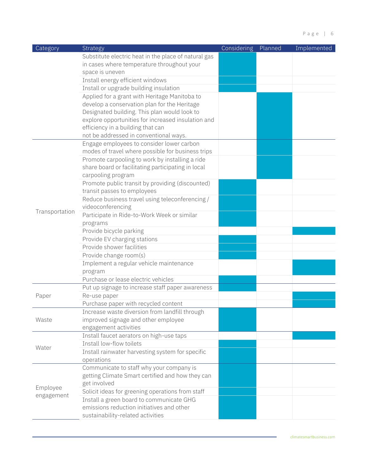| Category       | Strategy                                             | <b>Considering</b> | Planned | Implemented |
|----------------|------------------------------------------------------|--------------------|---------|-------------|
|                | Substitute electric heat in the place of natural gas |                    |         |             |
|                | in cases where temperature throughout your           |                    |         |             |
|                | space is uneven                                      |                    |         |             |
|                | Install energy efficient windows                     |                    |         |             |
|                | Install or upgrade building insulation               |                    |         |             |
|                | Applied for a grant with Heritage Manitoba to        |                    |         |             |
|                | develop a conservation plan for the Heritage         |                    |         |             |
|                | Designated building. This plan would look to         |                    |         |             |
|                | explore opportunities for increased insulation and   |                    |         |             |
|                | efficiency in a building that can                    |                    |         |             |
|                | not be addressed in conventional ways.               |                    |         |             |
|                | Engage employees to consider lower carbon            |                    |         |             |
|                | modes of travel where possible for business trips    |                    |         |             |
|                | Promote carpooling to work by installing a ride      |                    |         |             |
|                | share board or facilitating participating in local   |                    |         |             |
|                | carpooling program                                   |                    |         |             |
|                | Promote public transit by providing (discounted)     |                    |         |             |
|                | transit passes to employees                          |                    |         |             |
|                | Reduce business travel using teleconferencing /      |                    |         |             |
| Transportation | videoconferencing                                    |                    |         |             |
|                | Participate in Ride-to-Work Week or similar          |                    |         |             |
|                | programs                                             |                    |         |             |
|                | Provide bicycle parking                              |                    |         |             |
|                | Provide EV charging stations                         |                    |         |             |
|                | Provide shower facilities                            |                    |         |             |
|                | Provide change room(s)                               |                    |         |             |
|                | Implement a regular vehicle maintenance              |                    |         |             |
|                | program                                              |                    |         |             |
|                | Purchase or lease electric vehicles                  |                    |         |             |
|                | Put up signage to increase staff paper awareness     |                    |         |             |
| Paper          | Re-use paper                                         |                    |         |             |
|                | Purchase paper with recycled content                 |                    |         |             |
|                | Increase waste diversion from landfill through       |                    |         |             |
| Waste          | improved signage and other employee                  |                    |         |             |
|                | engagement activities                                |                    |         |             |
|                | Install faucet aerators on high-use taps             |                    |         |             |
| Water          | Install low-flow toilets                             |                    |         |             |
|                | Install rainwater harvesting system for specific     |                    |         |             |
|                | operations                                           |                    |         |             |
|                | Communicate to staff why your company is             |                    |         |             |
|                | getting Climate Smart certified and how they can     |                    |         |             |
| Employee       | get involved                                         |                    |         |             |
| engagement     | Solicit ideas for greening operations from staff     |                    |         |             |
|                | Install a green board to communicate GHG             |                    |         |             |
|                | emissions reduction initiatives and other            |                    |         |             |
|                | sustainability-related activities                    |                    |         |             |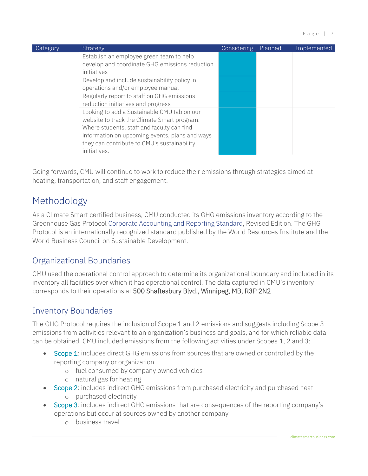| Category | Strategy                                                                                                                                 | Considering | Planned | Implemented |
|----------|------------------------------------------------------------------------------------------------------------------------------------------|-------------|---------|-------------|
|          | Establish an employee green team to help<br>develop and coordinate GHG emissions reduction<br>initiatives                                |             |         |             |
|          | Develop and include sustainability policy in<br>operations and/or employee manual                                                        |             |         |             |
|          | Regularly report to staff on GHG emissions<br>reduction initiatives and progress                                                         |             |         |             |
|          | Looking to add a Sustainable CMU tab on our<br>website to track the Climate Smart program.<br>Where students, staff and faculty can find |             |         |             |
|          | information on upcoming events, plans and ways<br>they can contribute to CMU's sustainability<br>initiatives.                            |             |         |             |

Going forwards, CMU will continue to work to reduce their emissions through strategies aimed at heating, transportation, and staff engagement.

# <span id="page-7-0"></span>Methodology

As a Climate Smart certified business, CMU conducted its GHG emissions inventory according to the Greenhouse Gas Protocol [Corporate Accounting and Reporting Standard,](https://ghgprotocol.org/corporate-standard) Revised Edition. The GHG Protocol is an internationally recognized standard published by the World Resources Institute and the World Business Council on Sustainable Development.

## Organizational Boundaries

CMU used the operational control approach to determine its organizational boundary and included in its inventory all facilities over which it has operational control. The data captured in CMU's inventory corresponds to their operations at 500 Shaftesbury Blvd., Winnipeg, MB, R3P 2N2

## Inventory Boundaries

The GHG Protocol requires the inclusion of Scope 1 and 2 emissions and suggests including Scope 3 emissions from activities relevant to an organization's business and goals, and for which reliable data can be obtained. CMU included emissions from the following activities under Scopes 1, 2 and 3:

- **Scope 1:** includes direct GHG emissions from sources that are owned or controlled by the reporting company or organization
	- o fuel consumed by company owned vehicles
	- o natural gas for heating
- Scope 2: includes indirect GHG emissions from purchased electricity and purchased heat o purchased electricity
- Scope 3: includes indirect GHG emissions that are consequences of the reporting company's operations but occur at sources owned by another company
	- o business travel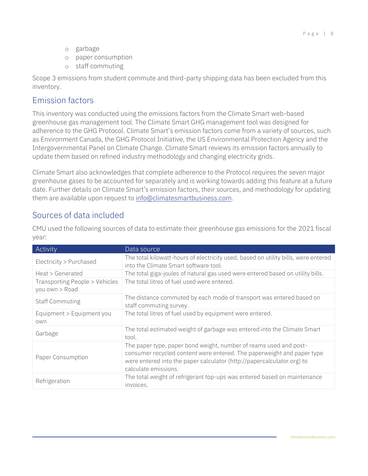- o garbage
- o paper consumption
- o staff commuting

Scope 3 emissions from student commute and third-party shipping data has been excluded from this inventory.

#### Emission factors

This inventory was conducted using the emissions factors from the Climate Smart web-based greenhouse gas management tool. The Climate Smart GHG management tool was designed for adherence to the GHG Protocol. Climate Smart's emission factors come from a variety of sources, such as Environment Canada, the GHG Protocol Initiative, the US Environmental Protection Agency and the Intergovernmental Panel on Climate Change. Climate Smart reviews its emission factors annually to update them based on refined industry methodology and changing electricity grids.

Climate Smart also acknowledges that complete adherence to the Protocol requires the seven major greenhouse gases to be accounted for separately and is working towards adding this feature at a future date. Further details on Climate Smart's emission factors, their sources, and methodology for updating them are available upon request to [info@climatesmartbusiness.com.](mailto:info@climatesmartbusiness.com)

## Sources of data included

CMU used the following sources of data to estimate their greenhouse gas emissions for the 2021 fiscal year:

| Activity                                         | Data source                                                                                                                                                                                                                                   |
|--------------------------------------------------|-----------------------------------------------------------------------------------------------------------------------------------------------------------------------------------------------------------------------------------------------|
| Electricity > Purchased                          | The total kilowatt-hours of electricity used, based on utility bills, were entered<br>into the Climate Smart software tool.                                                                                                                   |
| Heat > Generated                                 | The total giga-joules of natural gas used were entered based on utility bills.                                                                                                                                                                |
| Transporting People > Vehicles<br>you own > Road | The total litres of fuel used were entered.                                                                                                                                                                                                   |
| <b>Staff Commuting</b>                           | The distance commuted by each mode of transport was entered based on<br>staff commuting survey.                                                                                                                                               |
| Equipment > Equipment you<br>own                 | The total litres of fuel used by equipment were entered.                                                                                                                                                                                      |
| Garbage                                          | The total estimated weight of garbage was entered into the Climate Smart<br>tool.                                                                                                                                                             |
| Paper Consumption                                | The paper type, paper bond weight, number of reams used and post-<br>consumer recycled content were entered. The paperweight and paper type<br>were entered into the paper calculator (http://papercalculator.org) to<br>calculate emissions. |
| Refrigeration                                    | The total weight of refrigerant top-ups was entered based on maintenance<br>invoices.                                                                                                                                                         |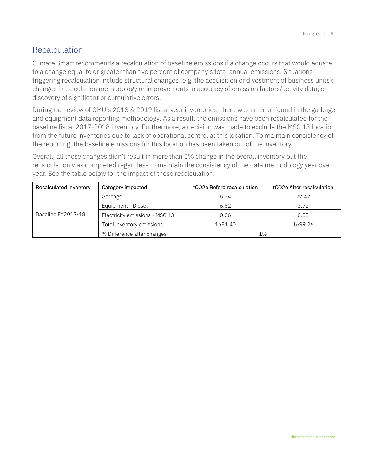## Recalculation

Climate Smart recommends a recalculation of baseline emissions if a change occurs that would equate to a change equal to or greater than five percent of company's total annual emissions. Situations triggering recalculation include structural changes (e.g. the acquisition or divestment of business units); changes in calculation methodology or improvements in accuracy of emission factors/activity data; or discovery of significant or cumulative errors.

During the review of CMU's 2018 & 2019 fiscal year inventories, there was an error found in the garbage and equipment data reporting methodology. As a result, the emissions have been recalculated for the baseline fiscal 2017-2018 inventory. Furthermore, a decision was made to exclude the MSC 13 location from the future inventories due to lack of operational control at this location. To maintain consistency of the reporting, the baseline emissions for this location has been taken out of the inventory.

Overall, all these changes didn't result in more than 5% change in the overall inventory but the recalculation was completed regardless to maintain the consistency of the data methodology year over year. See the table below for the impact of these recalculation:

| Recalculated inventory<br>Category impacted |                                | tCO2e Before recalculation | tCO2e After recalculation |
|---------------------------------------------|--------------------------------|----------------------------|---------------------------|
|                                             | Garbage                        | 6.34                       | 27.47                     |
|                                             | Equipment - Diesel             | 6.62                       | 3.72                      |
| Baseline FY2017-18                          | Electricity emissions - MSC 13 | 0.06                       | 0.00                      |
|                                             | Total inventory emissions      | 1681.40                    | 1699.26                   |
|                                             | % Difference after changes     | 1%                         |                           |